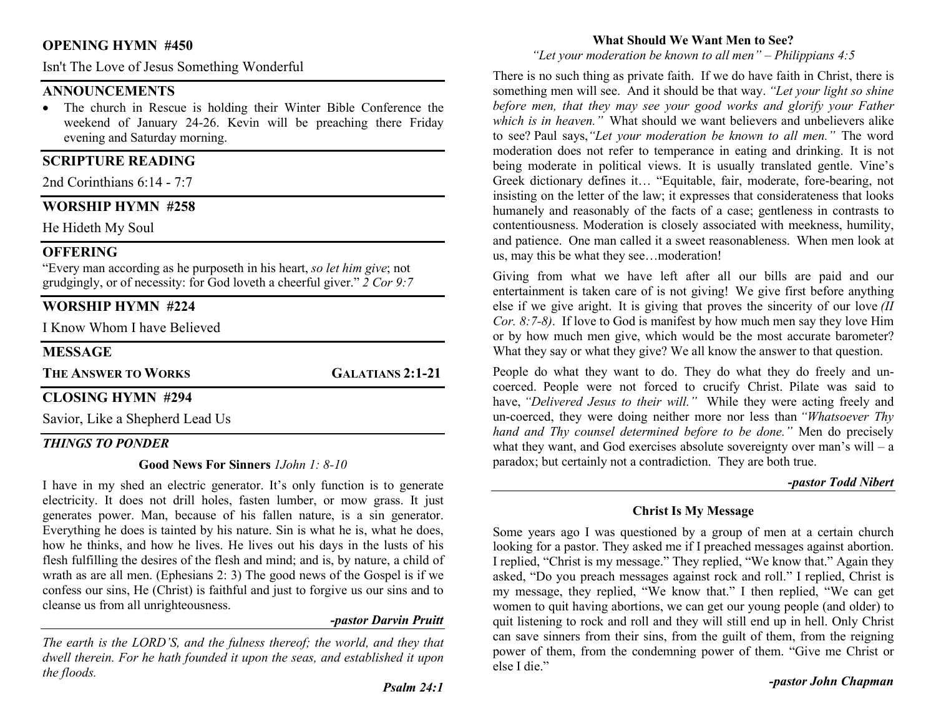# OPENING HYMN #450

Isn't The Love of Jesus Something Wonderful

#### **ANNOUNCEMENTS**

 The church in Rescue is holding their Winter Bible Conference the weekend of January 24-26. Kevin will be preaching there Friday evening and Saturday morning.

# SCRIPTURE READING

2nd Corinthians 6:14 - 7:7

## WORSHIP HYMN #258

He Hideth My Soul

## **OFFERING**

"Every man according as he purposeth in his heart, so let him give; not grudgingly, or of necessity: for God loveth a cheerful giver." 2 Cor 9:7

# WORSHIP HYMN #224

I Know Whom I have Believed

## **MESSAGE**

THE ANSWER TO WORKS GALATIANS 2:1-21

## CLOSING HYMN #294

Savior, Like a Shepherd Lead Us

## THINGS TO PONDER

#### Good News For Sinners 1John 1: 8-10

I have in my shed an electric generator. It's only function is to generate electricity. It does not drill holes, fasten lumber, or mow grass. It just generates power. Man, because of his fallen nature, is a sin generator. Everything he does is tainted by his nature. Sin is what he is, what he does, how he thinks, and how he lives. He lives out his days in the lusts of his flesh fulfilling the desires of the flesh and mind; and is, by nature, a child of wrath as are all men. (Ephesians 2: 3) The good news of the Gospel is if we confess our sins, He (Christ) is faithful and just to forgive us our sins and to cleanse us from all unrighteousness.

#### -pastor Darvin Pruitt

The earth is the LORD'S, and the fulness thereof; the world, and they that dwell therein. For he hath founded it upon the seas, and established it upon the floods.

#### What Should We Want Men to See?

"Let your moderation be known to all men" – Philippians  $4:5$ 

There is no such thing as private faith. If we do have faith in Christ, there is something men will see. And it should be that way. "Let your light so shine before men, that they may see your good works and glorify your Father which is in heaven." What should we want believers and unbelievers alike to see? Paul says,"Let your moderation be known to all men." The word moderation does not refer to temperance in eating and drinking. It is not being moderate in political views. It is usually translated gentle. Vine's Greek dictionary defines it… "Equitable, fair, moderate, fore-bearing, not insisting on the letter of the law; it expresses that considerateness that looks humanely and reasonably of the facts of a case; gentleness in contrasts to contentiousness. Moderation is closely associated with meekness, humility, and patience. One man called it a sweet reasonableness. When men look at us, may this be what they see…moderation!

Giving from what we have left after all our bills are paid and our entertainment is taken care of is not giving! We give first before anything else if we give aright. It is giving that proves the sincerity of our love  $(II)$ Cor. 8:7-8). If love to God is manifest by how much men say they love Him or by how much men give, which would be the most accurate barometer? What they say or what they give? We all know the answer to that question.

People do what they want to do. They do what they do freely and uncoerced. People were not forced to crucify Christ. Pilate was said to have, "Delivered Jesus to their will." While they were acting freely and un-coerced, they were doing neither more nor less than "Whatsoever Thy hand and Thy counsel determined before to be done." Men do precisely what they want, and God exercises absolute sovereignty over man's will – a paradox; but certainly not a contradiction. They are both true.

#### -pastor Todd Nibert

## Christ Is My Message

Some years ago I was questioned by a group of men at a certain church looking for a pastor. They asked me if I preached messages against abortion. I replied, "Christ is my message." They replied, "We know that." Again they asked, "Do you preach messages against rock and roll." I replied, Christ is my message, they replied, "We know that." I then replied, "We can get women to quit having abortions, we can get our young people (and older) to quit listening to rock and roll and they will still end up in hell. Only Christ can save sinners from their sins, from the guilt of them, from the reigning power of them, from the condemning power of them. "Give me Christ or else I die."

-pastor John Chapman